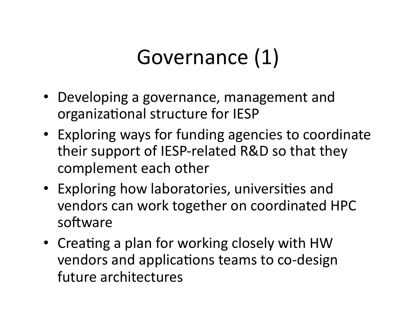#### Governance (1)

- Developing a governance, management and organizational structure for IESP
- Exploring ways for funding agencies to coordinate their support of IESP-related R&D so that they complement each other
- Exploring how laboratories, universities and vendors can work together on coordinated HPC software
- Creating a plan for working closely with HW vendors and applications teams to co-design future architectures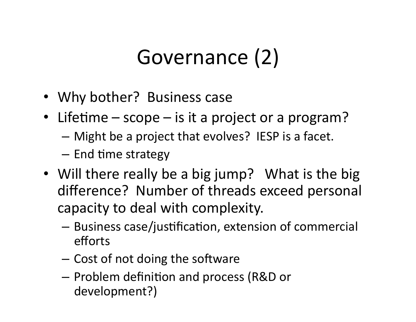## Governance (2)

- Why bother? Business case
- Lifetime scope is it a project or a program?
	- $-$  Might be a project that evolves? IESP is a facet.
	- $-$  End time strategy
- Will there really be a big jump? What is the big difference? Number of threads exceed personal capacity to deal with complexity.
	- $-$  Business case/justification, extension of commercial efforts)
	- $-$  Cost of not doing the software
	- $-$  Problem definition and process (R&D or) development?))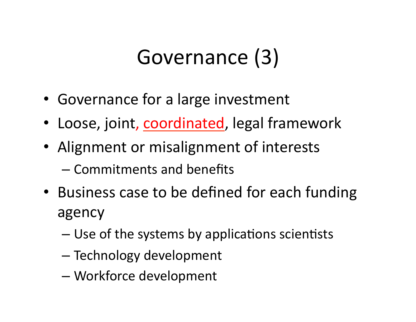## Governance (3)

- Governance for a large investment
- Loose, joint, coordinated, legal framework
- Alignment or misalignment of interests
	- Commitments and benefits
- Business case to be defined for each funding agency)
	- $-$  Use of the systems by applications scientists
	- Technology development
	- Workforce development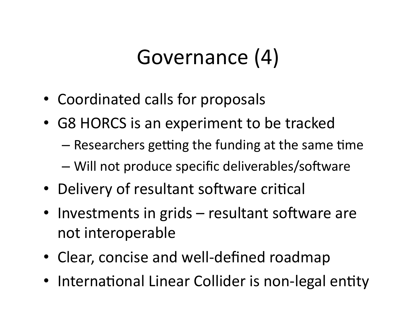#### Governance (4)

- Coordinated calls for proposals
- G8 HORCS is an experiment to be tracked
	- $-$  Researchers getting the funding at the same time
	- Will not produce specific deliverables/software
- Delivery of resultant software critical
- Investments in grids resultant software are not interoperable
- Clear, concise and well-defined roadmap
- International Linear Collider is non-legal entity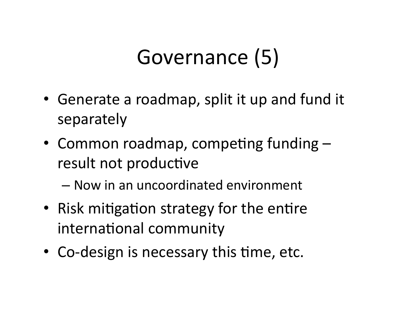## Governance (5)

- Generate a roadmap, split it up and fund it separately)
- Common roadmap, competing funding  $$ result not productive
	- Now)in)an)uncoordinated)environment)
- Risk mitigation strategy for the entire international community
- Co-design is necessary this time, etc.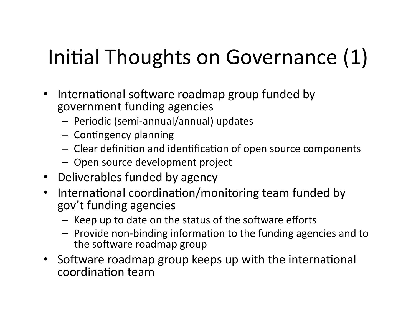# Initial Thoughts on Governance (1)

- International software roadmap group funded by government funding agencies
	- $-$  Periodic (semi-annual/annual) updates
	- $-$  Contingency planning
	- $-$  Clear definition and identification of open source components
	- Open source development project
- Deliverables funded by agency
- International coordination/monitoring team funded by gov't funding agencies
	- Keep up to date on the status of the software efforts
	- $-$  Provide non-binding information to the funding agencies and to the software roadmap group
- Software roadmap group keeps up with the international coordination team